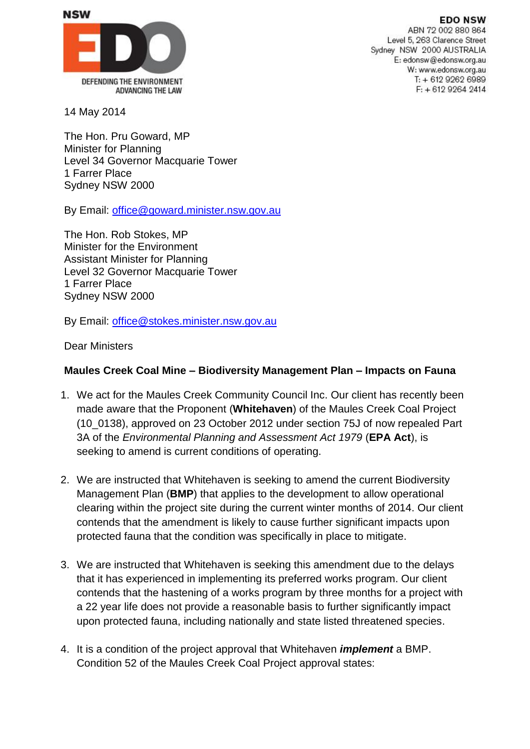**EDO NSW** 



ABN 72 002 880 864 Level 5, 263 Clarence Street Sydney NSW 2000 AUSTRALIA E: edonsw@edonsw.org.au W: www.edonsw.org.au  $T: +61292626989$ F: + 612 9264 2414

14 May 2014

The Hon. Pru Goward, MP Minister for Planning Level 34 Governor Macquarie Tower 1 Farrer Place Sydney NSW 2000

By Email: [office@goward.minister.nsw.gov.au](mailto:office@goward.minister.nsw.gov.au)

The Hon. Rob Stokes, MP Minister for the Environment Assistant Minister for Planning Level 32 Governor Macquarie Tower 1 Farrer Place Sydney NSW 2000

By Email: [office@stokes.minister.nsw.gov.au](mailto:office@stokes.minister.nsw.gov.au)

Dear Ministers

## **Maules Creek Coal Mine – Biodiversity Management Plan – Impacts on Fauna**

- 1. We act for the Maules Creek Community Council Inc. Our client has recently been made aware that the Proponent (**Whitehaven**) of the Maules Creek Coal Project (10\_0138), approved on 23 October 2012 under section 75J of now repealed Part 3A of the *Environmental Planning and Assessment Act 1979* (**EPA Act**), is seeking to amend is current conditions of operating.
- 2. We are instructed that Whitehaven is seeking to amend the current Biodiversity Management Plan (**BMP**) that applies to the development to allow operational clearing within the project site during the current winter months of 2014. Our client contends that the amendment is likely to cause further significant impacts upon protected fauna that the condition was specifically in place to mitigate.
- 3. We are instructed that Whitehaven is seeking this amendment due to the delays that it has experienced in implementing its preferred works program. Our client contends that the hastening of a works program by three months for a project with a 22 year life does not provide a reasonable basis to further significantly impact upon protected fauna, including nationally and state listed threatened species.
- 4. It is a condition of the project approval that Whitehaven *implement* a BMP. Condition 52 of the Maules Creek Coal Project approval states: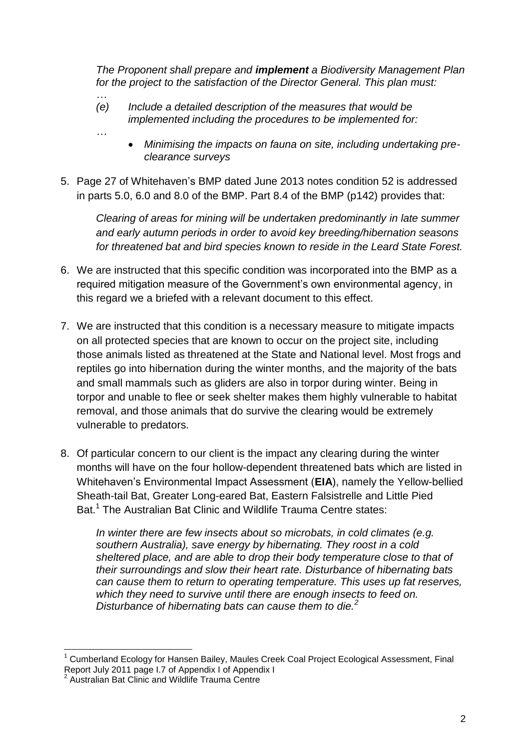*The Proponent shall prepare and implement a Biodiversity Management Plan for the project to the satisfaction of the Director General. This plan must:*

*(e) Include a detailed description of the measures that would be implemented including the procedures to be implemented for:*

*…*

*…*

- *Minimising the impacts on fauna on site, including undertaking preclearance surveys*
- 5. Page 27 of Whitehaven's BMP dated June 2013 notes condition 52 is addressed in parts 5.0, 6.0 and 8.0 of the BMP. Part 8.4 of the BMP (p142) provides that:

*Clearing of areas for mining will be undertaken predominantly in late summer and early autumn periods in order to avoid key breeding/hibernation seasons for threatened bat and bird species known to reside in the Leard State Forest.*

- 6. We are instructed that this specific condition was incorporated into the BMP as a required mitigation measure of the Government's own environmental agency, in this regard we a briefed with a relevant document to this effect.
- 7. We are instructed that this condition is a necessary measure to mitigate impacts on all protected species that are known to occur on the project site, including those animals listed as threatened at the State and National level. Most frogs and reptiles go into hibernation during the winter months, and the majority of the bats and small mammals such as gliders are also in torpor during winter. Being in torpor and unable to flee or seek shelter makes them highly vulnerable to habitat removal, and those animals that do survive the clearing would be extremely vulnerable to predators.
- 8. Of particular concern to our client is the impact any clearing during the winter months will have on the four hollow-dependent threatened bats which are listed in Whitehaven's Environmental Impact Assessment (**EIA**), namely the Yellow-bellied Sheath-tail Bat, Greater Long-eared Bat, Eastern Falsistrelle and Little Pied Bat.<sup>1</sup> The Australian Bat Clinic and Wildlife Trauma Centre states:

*In winter there are few insects about so microbats, in cold climates (e.g. southern Australia), save energy by hibernating. They roost in a cold sheltered place, and are able to drop their body temperature close to that of their surroundings and slow their heart rate. Disturbance of hibernating bats can cause them to return to operating temperature. This uses up fat reserves, which they need to survive until there are enough insects to feed on. Disturbance of hibernating bats can cause them to die.<sup>2</sup>*

 $\overline{\phantom{a}}$ <sup>1</sup> Cumberland Ecology for Hansen Bailey, Maules Creek Coal Project Ecological Assessment, Final Report July 2011 page I.7 of Appendix I of Appendix I<br><sup>2</sup> Augtralian Ret Clinic and Wildlife Traume Centre

Australian Bat Clinic and Wildlife Trauma Centre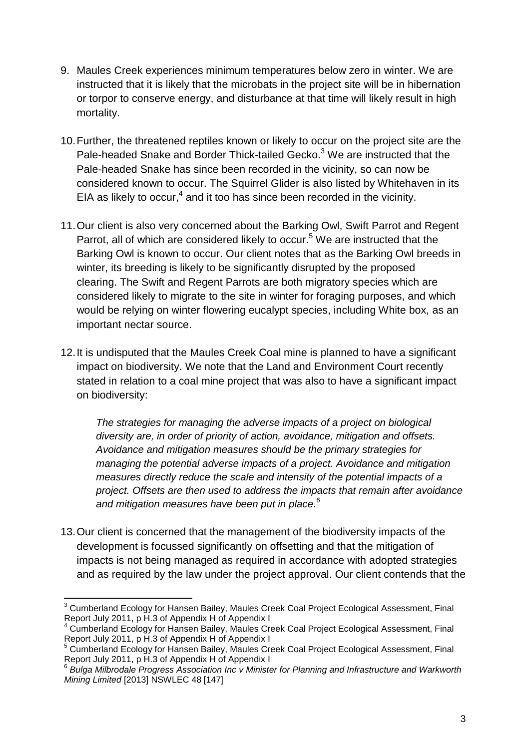- 9. Maules Creek experiences minimum temperatures below zero in winter. We are instructed that it is likely that the microbats in the project site will be in hibernation or torpor to conserve energy, and disturbance at that time will likely result in high mortality.
- 10.Further, the threatened reptiles known or likely to occur on the project site are the Pale-headed Snake and Border Thick-tailed Gecko.<sup>3</sup> We are instructed that the Pale-headed Snake has since been recorded in the vicinity, so can now be considered known to occur. The Squirrel Glider is also listed by Whitehaven in its EIA as likely to occur, $<sup>4</sup>$  and it too has since been recorded in the vicinity.</sup>
- 11.Our client is also very concerned about the Barking Owl, Swift Parrot and Regent Parrot, all of which are considered likely to occur.<sup>5</sup> We are instructed that the Barking Owl is known to occur. Our client notes that as the Barking Owl breeds in winter, its breeding is likely to be significantly disrupted by the proposed clearing. The Swift and Regent Parrots are both migratory species which are considered likely to migrate to the site in winter for foraging purposes, and which would be relying on winter flowering eucalypt species, including White box, as an important nectar source.
- 12.It is undisputed that the Maules Creek Coal mine is planned to have a significant impact on biodiversity. We note that the Land and Environment Court recently stated in relation to a coal mine project that was also to have a significant impact on biodiversity:

*The strategies for managing the adverse impacts of a project on biological diversity are, in order of priority of action, avoidance, mitigation and offsets. Avoidance and mitigation measures should be the primary strategies for managing the potential adverse impacts of a project. Avoidance and mitigation measures directly reduce the scale and intensity of the potential impacts of a project. Offsets are then used to address the impacts that remain after avoidance and mitigation measures have been put in place. 6*

13.Our client is concerned that the management of the biodiversity impacts of the development is focussed significantly on offsetting and that the mitigation of impacts is not being managed as required in accordance with adopted strategies and as required by the law under the project approval. Our client contends that the

**<sup>.</sup>** <sup>3</sup> Cumberland Ecology for Hansen Bailey, Maules Creek Coal Project Ecological Assessment, Final Report July 2011, p H.3 of Appendix H of Appendix I

<sup>4</sup> Cumberland Ecology for Hansen Bailey, Maules Creek Coal Project Ecological Assessment, Final Report July 2011, p H.3 of Appendix H of Appendix I

<sup>5</sup> Cumberland Ecology for Hansen Bailey, Maules Creek Coal Project Ecological Assessment, Final Report July 2011, p H.3 of Appendix H of Appendix I

<sup>6</sup> *Bulga Milbrodale Progress Association Inc v Minister for Planning and Infrastructure and Warkworth Mining Limited* [2013] NSWLEC 48 [147]